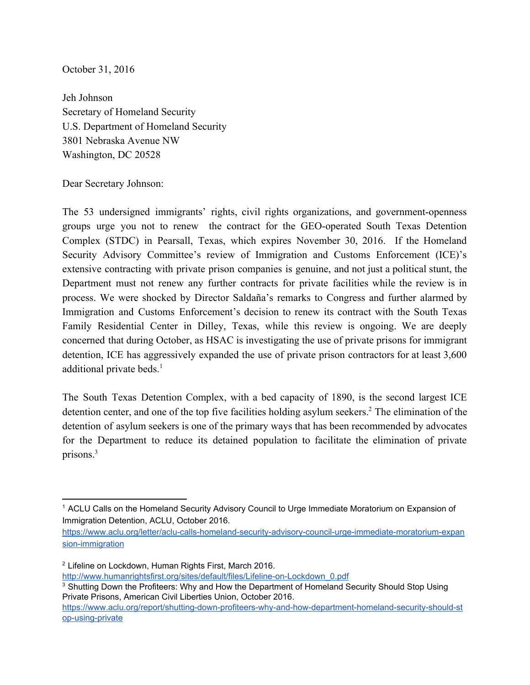October 31, 2016

Jeh Johnson Secretary of Homeland Security U.S. Department of Homeland Security 3801 Nebraska Avenue NW Washington, DC 20528

Dear Secretary Johnson:

The 53 undersigned immigrants' rights, civil rights organizations, and government-openness groups urge you not to renew the contract for the GEO-operated South Texas Detention Complex (STDC) in Pearsall, Texas, which expires November 30, 2016. If the Homeland Security Advisory Committee's review of Immigration and Customs Enforcement (ICE)'s extensive contracting with private prison companies is genuine, and not just a political stunt, the Department must not renew any further contracts for private facilities while the review is in process. We were shocked by Director Saldaña's remarks to Congress and further alarmed by Immigration and Customs Enforcement's decision to renew its contract with the South Texas Family Residential Center in Dilley, Texas, while this review is ongoing. We are deeply concerned that during October, as HSAC is investigating the use of private prisons for immigrant detention, ICE has aggressively expanded the use of private prison contractors for at least 3,600 additional private beds.<sup>1</sup>

The South Texas Detention Complex, with a bed capacity of 1890, is the second largest ICE detention center, and one of the top five facilities holding asylum seekers.<sup>2</sup> The elimination of the detention of asylum seekers is one of the primary ways that has been recommended by advocates for the Department to reduce its detained population to facilitate the elimination of private prisons.<sup>3</sup>

[https://www.aclu.org/letter/aclu-calls-homeland-security-advisory-council-urge-immediate-moratorium-expan](https://www.aclu.org/letter/aclu-calls-homeland-security-advisory-council-urge-immediate-moratorium-expansion-immigration) [sion-immigration](https://www.aclu.org/letter/aclu-calls-homeland-security-advisory-council-urge-immediate-moratorium-expansion-immigration)

<sup>&</sup>lt;sup>1</sup> ACLU Calls on the Homeland Security Advisory Council to Urge Immediate Moratorium on Expansion of Immigration Detention, ACLU, October 2016.

<sup>&</sup>lt;sup>2</sup> Lifeline on Lockdown, Human Rights First, March 2016.

[http://www.humanrightsfirst.org/sites/default/files/Lifeline-on-Lockdown\\_0.pdf](http://www.humanrightsfirst.org/sites/default/files/Lifeline-on-Lockdown_0.pdf)

<sup>&</sup>lt;sup>3</sup> Shutting Down the Profiteers: Why and How the Department of Homeland Security Should Stop Using Private Prisons, American Civil Liberties Union, October 2016.

[https://www.aclu.org/report/shutting-down-profiteers-why-and-how-department-homeland-security-should-st](https://www.aclu.org/report/shutting-down-profiteers-why-and-how-department-homeland-security-should-stop-using-private) [op-using-private](https://www.aclu.org/report/shutting-down-profiteers-why-and-how-department-homeland-security-should-stop-using-private)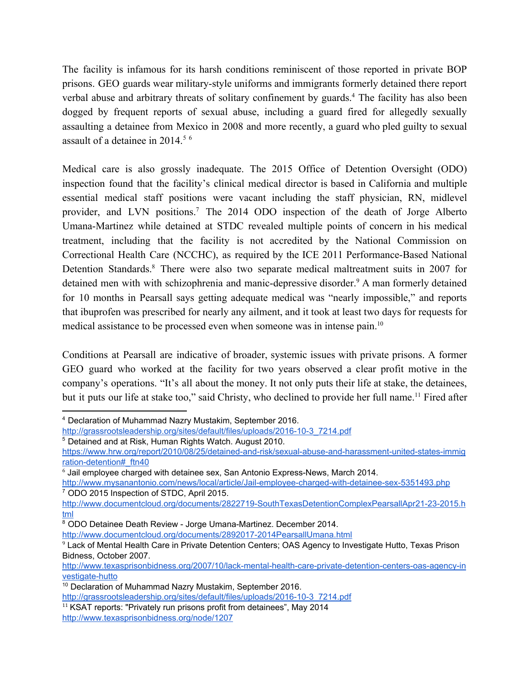The facility is infamous for its harsh conditions reminiscent of those reported in private BOP prisons. GEO guards wear military-style uniforms and immigrants formerly detained there report verbal abuse and arbitrary threats of solitary confinement by guards.<sup>4</sup> The facility has also been dogged by frequent reports of sexual abuse, including a guard fired for allegedly sexually assaulting a detainee from Mexico in 2008 and more recently, a guard who pled guilty to sexual assault of a detainee in 2014.<sup>5</sup> <sup>6</sup>

Medical care is also grossly inadequate. The 2015 Office of Detention Oversight (ODO) inspection found that the facility's clinical medical director is based in California and multiple essential medical staff positions were vacant including the staff physician, RN, midlevel provider, and LVN positions.<sup>7</sup> The 2014 ODO inspection of the death of Jorge Alberto Umana-Martinez while detained at STDC revealed multiple points of concern in his medical treatment, including that the facility is not accredited by the National Commission on Correctional Health Care (NCCHC), as required by the ICE 2011 Performance-Based National Detention Standards.<sup>8</sup> There were also two separate medical maltreatment suits in 2007 for detained men with with schizophrenia and manic-depressive disorder.<sup>9</sup> A man formerly detained for 10 months in Pearsall says getting adequate medical was "nearly impossible," and reports that ibuprofen was prescribed for nearly any ailment, and it took at least two days for requests for medical assistance to be processed even when someone was in intense pain.<sup>10</sup>

Conditions at Pearsall are indicative of broader, systemic issues with private prisons. A former GEO guard who worked at the facility for two years observed a clear profit motive in the company's operations. "It's all about the money. It not only puts their life at stake, the detainees, but it puts our life at stake too," said Christy, who declined to provide her full name.<sup>11</sup> Fired after

<sup>4</sup> Declaration of Muhammad Nazry Mustakim, September 2016.

[http://grassrootsleadership.org/sites/default/files/uploads/2016-10-3\\_7214.pdf](http://grassrootsleadership.org/sites/default/files/uploads/2016-10-3_7214.pdf)

<sup>5</sup> Detained and at Risk, Human Rights Watch. August 2010.

[https://www.hrw.org/report/2010/08/25/detained-and-risk/sexual-abuse-and-harassment-united-states-immig](https://www.hrw.org/report/2010/08/25/detained-and-risk/sexual-abuse-and-harassment-united-states-immigration-detention#_ftn40) [ration-detention#\\_ftn40](https://www.hrw.org/report/2010/08/25/detained-and-risk/sexual-abuse-and-harassment-united-states-immigration-detention#_ftn40)

 $6$  Jail employee charged with detainee sex. San Antonio Express-News, March 2014.

<http://www.mysanantonio.com/news/local/article/Jail-employee-charged-with-detainee-sex-5351493.php> <sup>7</sup> ODO 2015 Inspection of STDC, April 2015.

[http://www.documentcloud.org/documents/2822719-SouthTexasDetentionComplexPearsallApr21-23-2015.h](http://www.documentcloud.org/documents/2822719-SouthTexasDetentionComplexPearsallApr21-23-2015.html) [tml](http://www.documentcloud.org/documents/2822719-SouthTexasDetentionComplexPearsallApr21-23-2015.html)

<sup>8</sup> ODO Detainee Death Review - Jorge Umana-Martinez. December 2014.

<http://www.documentcloud.org/documents/2892017-2014PearsallUmana.html>

<sup>9</sup> Lack of Mental Health Care in Private Detention Centers; OAS Agency to Investigate Hutto, Texas Prison Bidness, October 2007.

[http://www.texasprisonbidness.org/2007/10/lack-mental-health-care-private-detention-centers-oas-agency-in](http://www.texasprisonbidness.org/2007/10/lack-mental-health-care-private-detention-centers-oas-agency-investigate-hutto) [vestigate-hutto](http://www.texasprisonbidness.org/2007/10/lack-mental-health-care-private-detention-centers-oas-agency-investigate-hutto)

<sup>10</sup> Declaration of Muhammad Nazry Mustakim, September 2016.

[http://grassrootsleadership.org/sites/default/files/uploads/2016-10-3\\_7214.pdf](http://grassrootsleadership.org/sites/default/files/uploads/2016-10-3_7214.pdf)

<sup>&</sup>lt;sup>11</sup> KSAT reports: "Privately run prisons profit from detainees", May 2014 <http://www.texasprisonbidness.org/node/1207>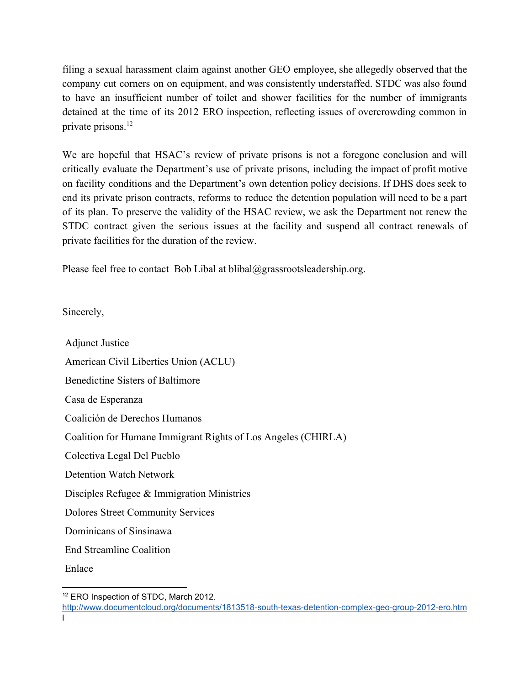filing a sexual harassment claim against another GEO employee, she allegedly observed that the company cut corners on on equipment, and was consistently understaffed. STDC was also found to have an insufficient number of toilet and shower facilities for the number of immigrants detained at the time of its 2012 ERO inspection, reflecting issues of overcrowding common in private prisons.<sup>12</sup>

We are hopeful that HSAC's review of private prisons is not a foregone conclusion and will critically evaluate the Department's use of private prisons, including the impact of profit motive on facility conditions and the Department's own detention policy decisions. If DHS does seek to end its private prison contracts, reforms to reduce the detention population will need to be a part of its plan. To preserve the validity of the HSAC review, we ask the Department not renew the STDC contract given the serious issues at the facility and suspend all contract renewals of private facilities for the duration of the review.

Please feel free to contact Bob Libal at blibal@grassrootsleadership.org.

Sincerely,

Adjunct Justice American Civil Liberties Union (ACLU) Benedictine Sisters of Baltimore Casa de Esperanza Coalición de Derechos Humanos Coalition for Humane Immigrant Rights of Los Angeles (CHIRLA) Colectiva Legal Del Pueblo Detention Watch Network Disciples Refugee & Immigration Ministries Dolores Street Community Services Dominicans of Sinsinawa End Streamline Coalition Enlace

<sup>&</sup>lt;sup>12</sup> ERO Inspection of STDC, March 2012.

<http://www.documentcloud.org/documents/1813518-south-texas-detention-complex-geo-group-2012-ero.htm> l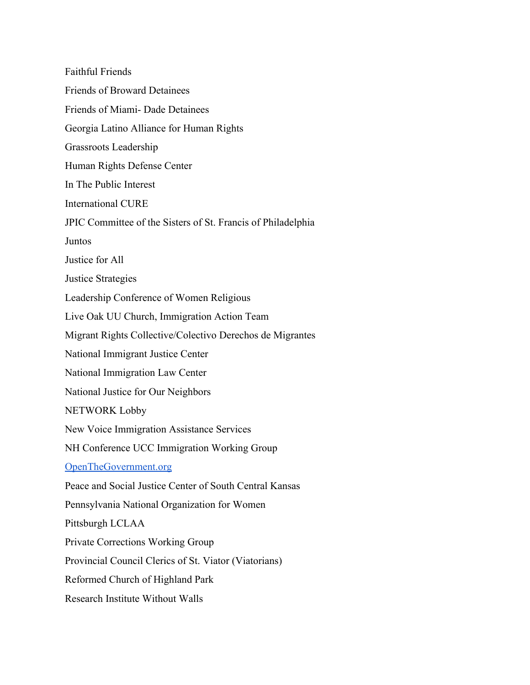Faithful Friends Friends of Broward Detainees Friends of Miami- Dade Detainees Georgia Latino Alliance for Human Rights Grassroots Leadership Human Rights Defense Center In The Public Interest International CURE JPIC Committee of the Sisters of St. Francis of Philadelphia Juntos Justice for All Justice Strategies Leadership Conference of Women Religious Live Oak UU Church, Immigration Action Team Migrant Rights Collective/Colectivo Derechos de Migrantes National Immigrant Justice Center National Immigration Law Center National Justice for Our Neighbors NETWORK Lobby New Voice Immigration Assistance Services NH Conference UCC Immigration Working Group [OpenTheGovernment.org](http://openthegovernment.org/) Peace and Social Justice Center of South Central Kansas Pennsylvania National Organization for Women Pittsburgh LCLAA Private Corrections Working Group Provincial Council Clerics of St. Viator (Viatorians) Reformed Church of Highland Park Research Institute Without Walls